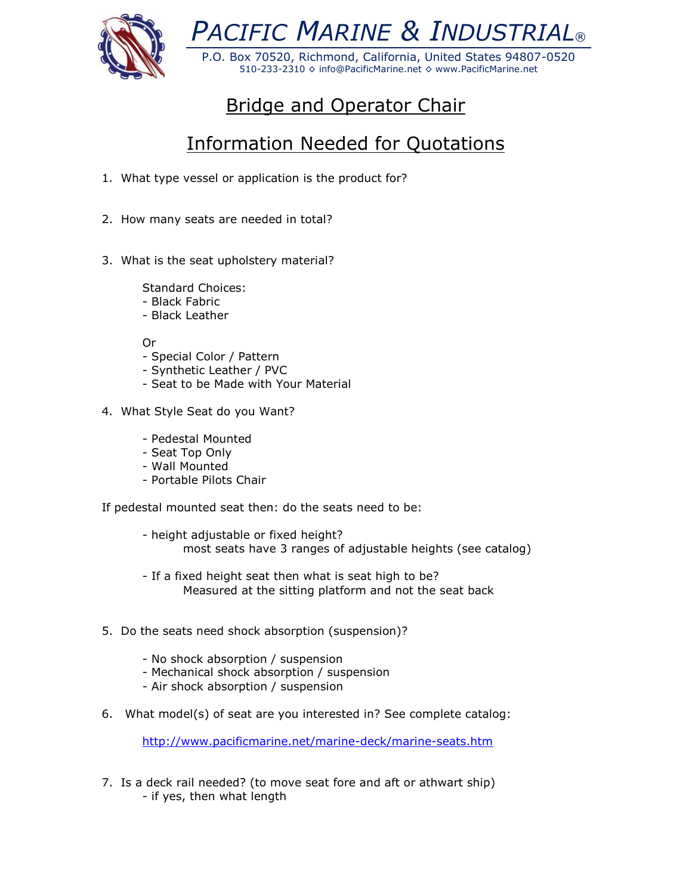

*PACIFIC MARINE & INDUSTRIAL®*

P.O. Box 70520, Richmond, California, United States 94807-0520 510-233-2310 ◊ info@PacificMarine.net ◊ www.PacificMarine.net

## Bridge and Operator Chair

## Information Needed for Quotations

- 1. What type vessel or application is the product for?
- 2. How many seats are needed in total?
- 3. What is the seat upholstery material?

Standard Choices:

- Black Fabric
- Black Leather

Or

- Special Color / Pattern
- Synthetic Leather / PVC
- Seat to be Made with Your Material
- 4. What Style Seat do you Want?
	- Pedestal Mounted
	- Seat Top Only
	- Wall Mounted
	- Portable Pilots Chair

If pedestal mounted seat then: do the seats need to be:

- height adjustable or fixed height? most seats have 3 ranges of adjustable heights (see catalog)
- If a fixed height seat then what is seat high to be? Measured at the sitting platform and not the seat back
- 5. Do the seats need shock absorption (suspension)?
	- No shock absorption / suspension
	- Mechanical shock absorption / suspension
	- Air shock absorption / suspension
- 6. What model(s) of seat are you interested in? See complete catalog:

<http://www.pacificmarine.net/marine-deck/marine-seats.htm>

7. Is a deck rail needed? (to move seat fore and aft or athwart ship) - if yes, then what length